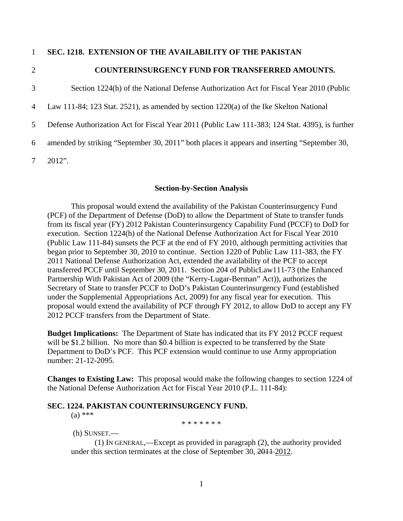## 1 **SEC. 1218. EXTENSION OF THE AVAILABILITY OF THE PAKISTAN**

3

## 2 **COUNTERINSURGENCY FUND FOR TRANSFERRED AMOUNTS.**

Section 1224(h) of the National Defense Authorization Act for Fiscal Year 2010 (Public

4 Law 111-84; 123 Stat. 2521), as amended by section 1220(a) of the Ike Skelton National

5 Defense Authorization Act for Fiscal Year 2011 (Public Law 111-383; 124 Stat. 4395), is further

6 amended by striking "September 30, 2011" both places it appears and inserting "September 30,

7 2012".

## **Section-by-Section Analysis**

 This proposal would extend the availability of the Pakistan Counterinsurgency Fund (PCF) of the Department of Defense (DoD) to allow the Department of State to transfer funds from its fiscal year (FY) 2012 Pakistan Counterinsurgency Capability Fund (PCCF) to DoD for execution. Section 1224(h) of the National Defense Authorization Act for Fiscal Year 2010 (Public Law 111-84) sunsets the PCF at the end of FY 2010, although permitting activities that began prior to September 30, 2010 to continue. Section 1220 of Public Law 111-383, the FY 2011 National Defense Authorization Act, extended the availability of the PCF to accept transferred PCCF until September 30, 2011. Section 204 of PublicLaw111-73 (the Enhanced Partnership With Pakistan Act of 2009 (the "Kerry-Lugar-Berman" Act)), authorizes the Secretary of State to transfer PCCF to DoD's Pakistan Counterinsurgency Fund (established under the Supplemental Appropriations Act, 2009) for any fiscal year for execution. This proposal would extend the availability of PCF through FY 2012, to allow DoD to accept any FY 2012 PCCF transfers from the Department of State.

**Budget Implications:** The Department of State has indicated that its FY 2012 PCCF request will be \$1.2 billion. No more than \$0.4 billion is expected to be transferred by the State Department to DoD's PCF. This PCF extension would continue to use Army appropriation number: 21-12-2095.

**Changes to Existing Law:** This proposal would make the following changes to section 1224 of the National Defense Authorization Act for Fiscal Year 2010 (P.L. 111-84):

## **SEC. 1224. PAKISTAN COUNTERINSURGENCY FUND.**

(a) \*\*\*

\* \* \* \* \* \* \*

(h) SUNSET.—

 (1) IN GENERAL,—Except as provided in paragraph (2), the authority provided under this section terminates at the close of September 30, 2011-2012.